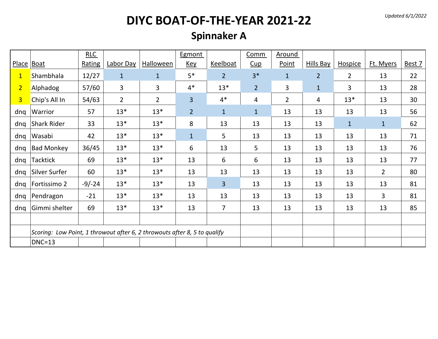*Updated 6/1/2022*

# **DIYC BOAT-OF-THE-YEAR 2021-22**

### **Spinnaker A**

|                |                                                                           | RLC      |                |                  | <b>Egmont</b>  |                 | Comm           | <b>Around</b> |                  |                |              |        |
|----------------|---------------------------------------------------------------------------|----------|----------------|------------------|----------------|-----------------|----------------|---------------|------------------|----------------|--------------|--------|
| Place Boat     |                                                                           | Rating   | Labor Day      | <b>Halloween</b> | <b>Key</b>     | <b>Keelboat</b> | Cup            | Point         | <b>Hills Bay</b> | <b>Hospice</b> | Ft. Myers    | Best 7 |
| $\mathbf{1}$   | Shambhala                                                                 | 12/27    | $\mathbf{1}$   | $\mathbf{1}$     | $5*$           | $\overline{2}$  | $3*$           | $\mathbf{1}$  | $\overline{2}$   | $\overline{2}$ | 13           | 22     |
| 2 <sub>1</sub> | Alphadog                                                                  | 57/60    | $\overline{3}$ | $\overline{3}$   | $4*$           | $13*$           | $\overline{2}$ | 3             | $\mathbf{1}$     | 3              | 13           | 28     |
| 3 <sup>1</sup> | Chip's All In                                                             | 54/63    | $\overline{2}$ | $\overline{2}$   | $\overline{3}$ | $4*$            | $\overline{4}$ | $2^{\circ}$   | 4                | $13*$          | 13           | 30     |
| dnq            | <b>Warrior</b>                                                            | 57       | $13*$          | $13*$            | $\overline{2}$ | $\mathbf{1}$    | $\mathbf{1}$   | 13            | 13               | 13             | 13           | 56     |
| dnq            | Shark Rider                                                               | 33       | $13*$          | $13*$            | 8              | 13              | 13             | 13            | 13               | $\mathbf{1}$   | $\mathbf{1}$ | 62     |
| dnq            | Wasabi                                                                    | 42       | $13*$          | $13*$            | $\mathbf{1}$   | 5               | 13             | 13            | 13               | 13             | 13           | 71     |
| dnq            | <b>Bad Monkey</b>                                                         | 36/45    | $13*$          | $13*$            | 6              | 13              | 5              | 13            | 13               | 13             | 13           | 76     |
| dnq            | Tacktick                                                                  | 69       | $13*$          | $13*$            | 13             | 6               | 6              | 13            | 13               | 13             | 13           | 77     |
| dnq            | Silver Surfer                                                             | 60       | $13*$          | $13*$            | 13             | 13              | 13             | 13            | 13               | 13             | $2^{\circ}$  | 80     |
| dnq            | Fortissimo 2                                                              | $-9/-24$ | $13*$          | $13*$            | 13             | $\overline{3}$  | 13             | 13            | 13               | 13             | 13           | 81     |
| dnq            | Pendragon                                                                 | $-21$    | $13*$          | $13*$            | 13             | 13              | 13             | 13            | 13               | 13             | 3            | 81     |
| dnq            | Gimmi shelter                                                             | 69       | $13*$          | $13*$            | 13             | 7               | 13             | 13            | 13               | 13             | 13           | 85     |
|                |                                                                           |          |                |                  |                |                 |                |               |                  |                |              |        |
|                | Scoring: Low Point, 1 throwout after 6, 2 throwouts after 8, 5 to qualify |          |                |                  |                |                 |                |               |                  |                |              |        |
|                | $DNC=13$                                                                  |          |                |                  |                |                 |                |               |                  |                |              |        |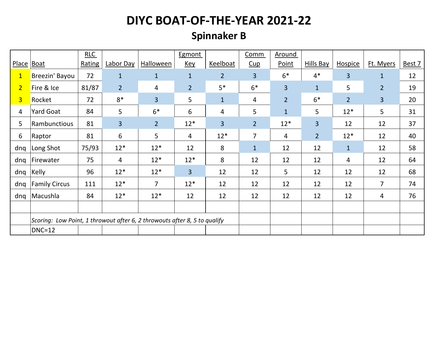## **Spinnaker B**

|                |                                                                           | RLC    |                         |                  | Egmont         |                | Comm           | Around         |                |                |                |        |
|----------------|---------------------------------------------------------------------------|--------|-------------------------|------------------|----------------|----------------|----------------|----------------|----------------|----------------|----------------|--------|
| Place Boat     |                                                                           | Rating | Labor Day               | <b>Halloween</b> | <u>Key</u>     | Keelboat       | Cup            | Point          | Hills Bay      | <b>Hospice</b> | Ft. Myers      | Best 7 |
| $\mathbf{1}$   | Breezin' Bayou                                                            | 72     | $\mathbf{1}$            | $\mathbf{1}$     | $\mathbf{1}$   | $\overline{2}$ | 3              | $6*$           | $4*$           | 3              | $\mathbf{1}$   | 12     |
| $\overline{2}$ | Fire & Ice                                                                | 81/87  | $\overline{2}$          | 4                | $\overline{2}$ | $5*$           | $6*$           | 3              | $\mathbf{1}$   | 5              | $\overline{2}$ | 19     |
| $\overline{3}$ | Rocket                                                                    | 72     | $8*$                    | $\overline{3}$   | 5              | $\mathbf{1}$   | $\overline{4}$ | 2 <sup>2</sup> | $6*$           | $\overline{2}$ | 3              | 20     |
| 4              | Yard Goat                                                                 | 84     | 5                       | $6*$             | 6              | 4              | 5              | $\mathbf{1}$   | 5              | $12*$          | 5              | 31     |
| 5              | Rambunctious                                                              | 81     | $\overline{\mathbf{3}}$ | $\overline{2}$   | $12*$          | 3              | $\overline{2}$ | $12*$          | 3              | 12             | 12             | 37     |
| 6              | Raptor                                                                    | 81     | 6                       | 5                | 4              | $12*$          | $\overline{7}$ | 4              | $\overline{2}$ | $12*$          | 12             | 40     |
| dnq            | Long Shot                                                                 | 75/93  | $12*$                   | $12*$            | 12             | 8              | $\mathbf{1}$   | 12             | 12             | $\mathbf{1}$   | 12             | 58     |
| dnq            | Firewater                                                                 | 75     | 4                       | $12*$            | $12*$          | 8              | 12             | 12             | 12             | 4              | 12             | 64     |
| dnq            | Kelly                                                                     | 96     | $12*$                   | $12*$            | $\overline{3}$ | 12             | 12             | 5              | 12             | 12             | 12             | 68     |
| dnq            | <b>Family Circus</b>                                                      | 111    | $12*$                   | $\overline{7}$   | $12*$          | 12             | 12             | 12             | 12             | 12             | $\overline{7}$ | 74     |
| dnq            | Macushla                                                                  | 84     | $12*$                   | $12*$            | 12             | 12             | 12             | 12             | 12             | 12             | 4              | 76     |
|                |                                                                           |        |                         |                  |                |                |                |                |                |                |                |        |
|                | Scoring: Low Point, 1 throwout after 6, 2 throwouts after 8, 5 to qualify |        |                         |                  |                |                |                |                |                |                |                |        |
|                | $DNC=12$                                                                  |        |                         |                  |                |                |                |                |                |                |                |        |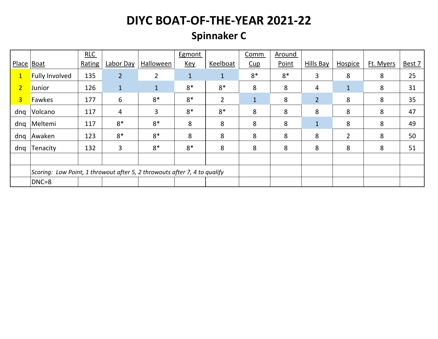## **Spinnaker C**

|                |                                                                           | <b>RLC</b> |                |                | Egmont       |                | Comm         | Around |                |                |           |        |
|----------------|---------------------------------------------------------------------------|------------|----------------|----------------|--------------|----------------|--------------|--------|----------------|----------------|-----------|--------|
| Place   Boat   |                                                                           | Rating     | Labor Day      | Halloween      | <b>Key</b>   | Keelboat       | Cup          | Point  | Hills Bay      | Hospice        | Ft. Myers | Best 7 |
| $\mathbf{1}$   | <b>Fully Involved</b>                                                     | 135        | $\overline{2}$ | $\overline{2}$ | $\mathbf{1}$ | $\mathbf{1}$   | $8*$         | $8*$   | 3              | 8              | 8         | 25     |
| $\overline{2}$ | Junior                                                                    | 126        | $\mathbf{1}$   | $\mathbf{1}$   | $8*$         | $8*$           | 8            | 8      | 4              |                | 8         | 31     |
| 3 <sup>1</sup> | Fawkes                                                                    | 177        | 6              | $8*$           | $8*$         | $\overline{2}$ | $\mathbf{1}$ | 8      | $\overline{2}$ | 8              | 8         | 35     |
| dnq            | Volcano                                                                   | 117        | 4              | 3              | $8*$         | $8*$           | 8            | 8      | 8              | 8              | 8         | 47     |
| dnq            | Meltemi                                                                   | 117        | $8*$           | $8*$           | 8            | 8              | 8            | 8      | $\mathbf{1}$   | 8              | 8         | 49     |
| dng            | Awaken                                                                    | 123        | $8*$           | $8*$           | 8            | 8              | 8            | 8      | 8              | $\overline{2}$ | 8         | 50     |
| dng            | Tenacity                                                                  | 132        | 3              | $8*$           | $8*$         | 8              | 8            | 8      | 8              | 8              | 8         | 51     |
|                |                                                                           |            |                |                |              |                |              |        |                |                |           |        |
|                | Scoring: Low Point, 1 throwout after 5, 2 throwouts after 7, 4 to qualify |            |                |                |              |                |              |        |                |                |           |        |
|                | DNC=8                                                                     |            |                |                |              |                |              |        |                |                |           |        |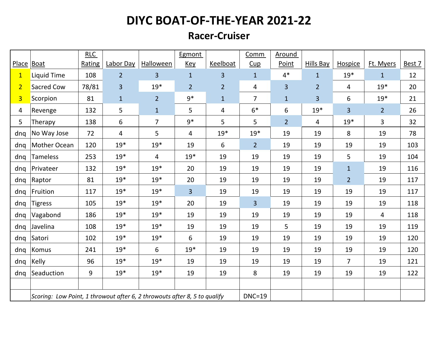#### **Racer-Cruiser**

|                |                                                                           | RLC    |                |                  | Egmont         |                 | Comm           | Around         |                  |                |                |        |
|----------------|---------------------------------------------------------------------------|--------|----------------|------------------|----------------|-----------------|----------------|----------------|------------------|----------------|----------------|--------|
| Place Boat     |                                                                           | Rating | Labor Day      | <b>Halloween</b> | <b>Key</b>     | <b>Keelboat</b> | Cup            | Point          | <b>Hills Bay</b> | Hospice        | Ft. Myers      | Best 7 |
| $\overline{1}$ | <b>Liquid Time</b>                                                        | 108    | $\overline{2}$ | $\overline{3}$   | $\mathbf{1}$   | $\overline{3}$  | $\mathbf{1}$   | $4*$           | $\mathbf{1}$     | $19*$          | $\mathbf{1}$   | 12     |
| $\overline{2}$ | Sacred Cow                                                                | 78/81  | $\overline{3}$ | $19*$            | $\overline{2}$ | $\overline{2}$  | 4              | $\overline{3}$ | $\overline{2}$   | 4              | $19*$          | 20     |
| $\overline{3}$ | Scorpion                                                                  | 81     | $\mathbf{1}$   | $\overline{2}$   | $9*$           | $\mathbf{1}$    | $\overline{7}$ | $\mathbf{1}$   | 3                | 6              | $19*$          | 21     |
| 4              | Revenge                                                                   | 132    | 5              | $\mathbf{1}$     | 5              | 4               | $6*$           | 6              | $19*$            | $\overline{3}$ | $\overline{2}$ | 26     |
| 5              | Therapy                                                                   | 138    | 6              | $\overline{7}$   | $9*$           | 5               | 5              | 2 <sup>1</sup> | 4                | $19*$          | 3              | 32     |
| dnq            | No Way Jose                                                               | 72     | 4              | 5                | 4              | $19*$           | $19*$          | 19             | 19               | 8              | 19             | 78     |
| dnq            | Mother Ocean                                                              | 120    | $19*$          | $19*$            | 19             | 6               | 2 <sup>1</sup> | 19             | 19               | 19             | 19             | 103    |
| dnq            | Tameless                                                                  | 253    | $19*$          | 4                | $19*$          | 19              | 19             | 19             | 19               | 5              | 19             | 104    |
| dnq            | Privateer                                                                 | 132    | $19*$          | $19*$            | 20             | 19              | 19             | 19             | 19               | $\mathbf{1}$   | 19             | 116    |
| dnq            | Raptor                                                                    | 81     | $19*$          | $19*$            | 20             | 19              | 19             | 19             | 19               | $\overline{2}$ | 19             | 117    |
| dnq            | Fruition                                                                  | 117    | $19*$          | $19*$            | 3              | 19              | 19             | 19             | 19               | 19             | 19             | 117    |
| dnq            | Tigress                                                                   | 105    | $19*$          | $19*$            | 20             | 19              | 3 <sup>1</sup> | 19             | 19               | 19             | 19             | 118    |
| dnq            | Vagabond                                                                  | 186    | $19*$          | $19*$            | 19             | 19              | 19             | 19             | 19               | 19             | 4              | 118    |
| dnq            | Javelina                                                                  | 108    | $19*$          | $19*$            | 19             | 19              | 19             | 5              | 19               | 19             | 19             | 119    |
| dnq            | Satori                                                                    | 102    | $19*$          | $19*$            | 6              | 19              | 19             | 19             | 19               | 19             | 19             | 120    |
| dnq            | Komus                                                                     | 241    | $19*$          | 6                | $19*$          | 19              | 19             | 19             | 19               | 19             | 19             | 120    |
| dnq            | Kelly                                                                     | 96     | $19*$          | $19*$            | 19             | 19              | 19             | 19             | 19               | $\overline{7}$ | 19             | 121    |
| dnq            | Seaduction                                                                | 9      | $19*$          | $19*$            | 19             | 19              | 8              | 19             | 19               | 19             | 19             | 122    |
|                |                                                                           |        |                |                  |                |                 |                |                |                  |                |                |        |
|                | Scoring: Low Point, 1 throwout after 6, 2 throwouts after 8, 5 to qualify |        |                |                  |                |                 | $DNC=19$       |                |                  |                |                |        |